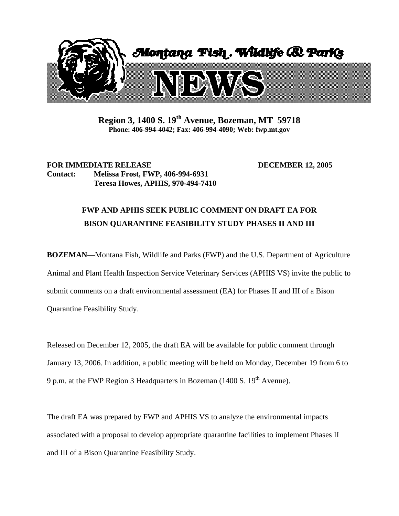

**Region 3, 1400 S. 19th Avenue, Bozeman, MT 59718 Phone: 406-994-4042; Fax: 406-994-4090; Web: fwp.mt.gov** 

## **FOR IMMEDIATE RELEASE DECEMBER 12, 2005 Contact: Melissa Frost, FWP, 406-994-6931 Teresa Howes, APHIS, 970-494-7410**

## **FWP AND APHIS SEEK PUBLIC COMMENT ON DRAFT EA FOR BISON QUARANTINE FEASIBILITY STUDY PHASES II AND III**

**BOZEMAN**—Montana Fish, Wildlife and Parks (FWP) and the U.S. Department of Agriculture Animal and Plant Health Inspection Service Veterinary Services (APHIS VS) invite the public to submit comments on a draft environmental assessment (EA) for Phases II and III of a Bison Quarantine Feasibility Study.

Released on December 12, 2005, the draft EA will be available for public comment through January 13, 2006. In addition, a public meeting will be held on Monday, December 19 from 6 to 9 p.m. at the FWP Region 3 Headquarters in Bozeman (1400 S.  $19<sup>th</sup>$  Avenue).

The draft EA was prepared by FWP and APHIS VS to analyze the environmental impacts associated with a proposal to develop appropriate quarantine facilities to implement Phases II and III of a Bison Quarantine Feasibility Study.